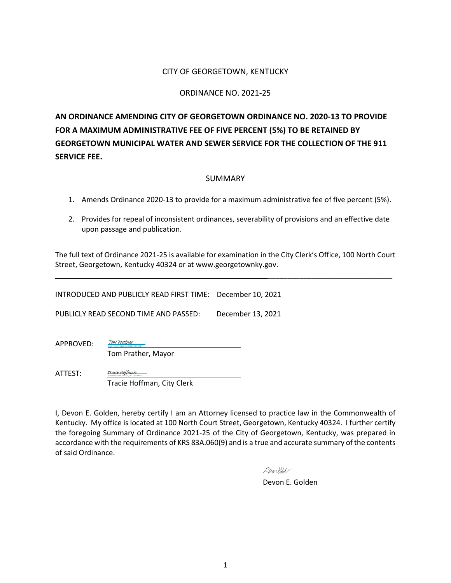#### CITY OF GEORGETOWN, KENTUCKY

#### ORDINANCE NO. 2021-25

**AN ORDINANCE AMENDING CITY OF GEORGETOWN ORDINANCE NO. 2020-13 TO PROVIDE FOR A MAXIMUM ADMINISTRATIVE FEE OF FIVE PERCENT (5%) TO BE RETAINED BY GEORGETOWN MUNICIPAL WATER AND SEWER SERVICE FOR THE COLLECTION OF THE 911 SERVICE FEE.**

#### SUMMARY

- 1. Amends Ordinance 2020-13 to provide for a maximum administrative fee of five percent (5%).
- 2. Provides for repeal of inconsistent ordinances, severability of provisions and an effective date upon passage and publication.

The full text of Ordinance 2021-25 is available for examination in the City Clerk's Office, 100 North Court Street, Georgetown, Kentucky 40324 or at www.georgetownky.gov.

INTRODUCED AND PUBLICLY READ FIRST TIME: December 10, 2021

PUBLICLY READ SECOND TIME AND PASSED: December 13, 2021

APPROVED: Tom Prather (Dec 15, 2021 14:57 EST) [Tom Prather](https://na1.documents.adobe.com/verifier?tx=CBJCHBCAABAATKxNjYeWlq7Fhal3MpXq2TZercU-Os7b)

Tom Prather, Mayor

[Tracie Hoffman](https://na1.documents.adobe.com/verifier?tx=CBJCHBCAABAATKxNjYeWlq7Fhal3MpXq2TZercU-Os7b)

ATTEST:

 Tracie Hoffman, City Clerk Tracie Hoffman (Dec 22, 2021 09:48 EST)

I, Devon E. Golden, hereby certify I am an Attorney licensed to practice law in the Commonwealth of Kentucky. My office is located at 100 North Court Street, Georgetown, Kentucky 40324. I further certify the foregoing Summary of Ordinance 2021-25 of the City of Georgetown, Kentucky, was prepared in accordance with the requirements of KRS 83A.060(9) and is a true and accurate summary of the contents of said Ordinance.

Derarlds

Devon E. Golden

\_\_\_\_\_\_\_\_\_\_\_\_\_\_\_\_\_\_\_\_\_\_\_\_\_\_\_\_\_\_\_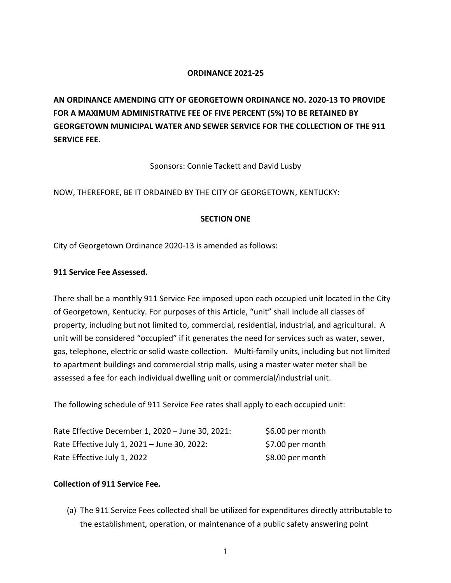#### **ORDINANCE 2021-25**

**AN ORDINANCE AMENDING CITY OF GEORGETOWN ORDINANCE NO. 2020-13 TO PROVIDE FOR A MAXIMUM ADMINISTRATIVE FEE OF FIVE PERCENT (5%) TO BE RETAINED BY GEORGETOWN MUNICIPAL WATER AND SEWER SERVICE FOR THE COLLECTION OF THE 911 SERVICE FEE.**

Sponsors: Connie Tackett and David Lusby

NOW, THEREFORE, BE IT ORDAINED BY THE CITY OF GEORGETOWN, KENTUCKY:

### **SECTION ONE**

City of Georgetown Ordinance 2020-13 is amended as follows:

#### **911 Service Fee Assessed.**

There shall be a monthly 911 Service Fee imposed upon each occupied unit located in the City of Georgetown, Kentucky. For purposes of this Article, "unit" shall include all classes of property, including but not limited to, commercial, residential, industrial, and agricultural. A unit will be considered "occupied" if it generates the need for services such as water, sewer, gas, telephone, electric or solid waste collection. Multi-family units, including but not limited to apartment buildings and commercial strip malls, using a master water meter shall be assessed a fee for each individual dwelling unit or commercial/industrial unit.

The following schedule of 911 Service Fee rates shall apply to each occupied unit:

| Rate Effective December 1, 2020 - June 30, 2021: | \$6.00 per month |
|--------------------------------------------------|------------------|
| Rate Effective July 1, 2021 - June 30, 2022:     | \$7.00 per month |
| Rate Effective July 1, 2022                      | \$8.00 per month |

# **Collection of 911 Service Fee.**

(a) The 911 Service Fees collected shall be utilized for expenditures directly attributable to the establishment, operation, or maintenance of a public safety answering point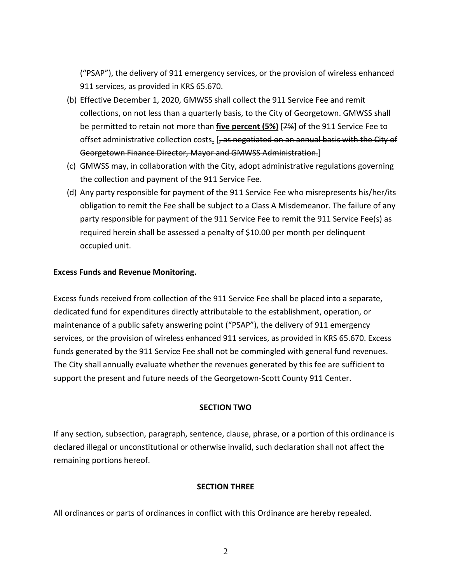("PSAP"), the delivery of 911 emergency services, or the provision of wireless enhanced 911 services, as provided in KRS 65.670.

- (b) Effective December 1, 2020, GMWSS shall collect the 911 Service Fee and remit collections, on not less than a quarterly basis, to the City of Georgetown. GMWSS shall be permitted to retain not more than **five percent (5%)** [7%] of the 911 Service Fee to offset administrative collection costs. [, as negotiated on an annual basis with the City of Georgetown Finance Director, Mayor and GMWSS Administration.]
- (c) GMWSS may, in collaboration with the City, adopt administrative regulations governing the collection and payment of the 911 Service Fee.
- (d) Any party responsible for payment of the 911 Service Fee who misrepresents his/her/its obligation to remit the Fee shall be subject to a Class A Misdemeanor. The failure of any party responsible for payment of the 911 Service Fee to remit the 911 Service Fee(s) as required herein shall be assessed a penalty of \$10.00 per month per delinquent occupied unit.

#### **Excess Funds and Revenue Monitoring.**

Excess funds received from collection of the 911 Service Fee shall be placed into a separate, dedicated fund for expenditures directly attributable to the establishment, operation, or maintenance of a public safety answering point ("PSAP"), the delivery of 911 emergency services, or the provision of wireless enhanced 911 services, as provided in KRS 65.670. Excess funds generated by the 911 Service Fee shall not be commingled with general fund revenues. The City shall annually evaluate whether the revenues generated by this fee are sufficient to support the present and future needs of the Georgetown-Scott County 911 Center.

#### **SECTION TWO**

If any section, subsection, paragraph, sentence, clause, phrase, or a portion of this ordinance is declared illegal or unconstitutional or otherwise invalid, such declaration shall not affect the remaining portions hereof.

#### **SECTION THREE**

All ordinances or parts of ordinances in conflict with this Ordinance are hereby repealed.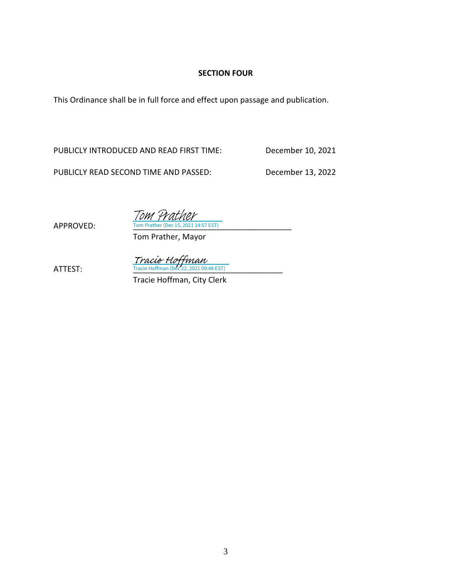# **SECTION FOUR**

This Ordinance shall be in full force and effect upon passage and publication.

PUBLICLY INTRODUCED AND READ FIRST TIME: December 10, 2021

PUBLICLY READ SECOND TIME AND PASSED: December 13, 2022

APPROVED:

**The Prather (Dec 15)** Tom 4

Tom Prather, Mayor

 $\frac{Trace\; Hoffman}{Trace\; Hoffman\; (Dec\; 22, 2021\; 09:48\; EST)}$ 

Tracie Hoffman, City Clerk

3